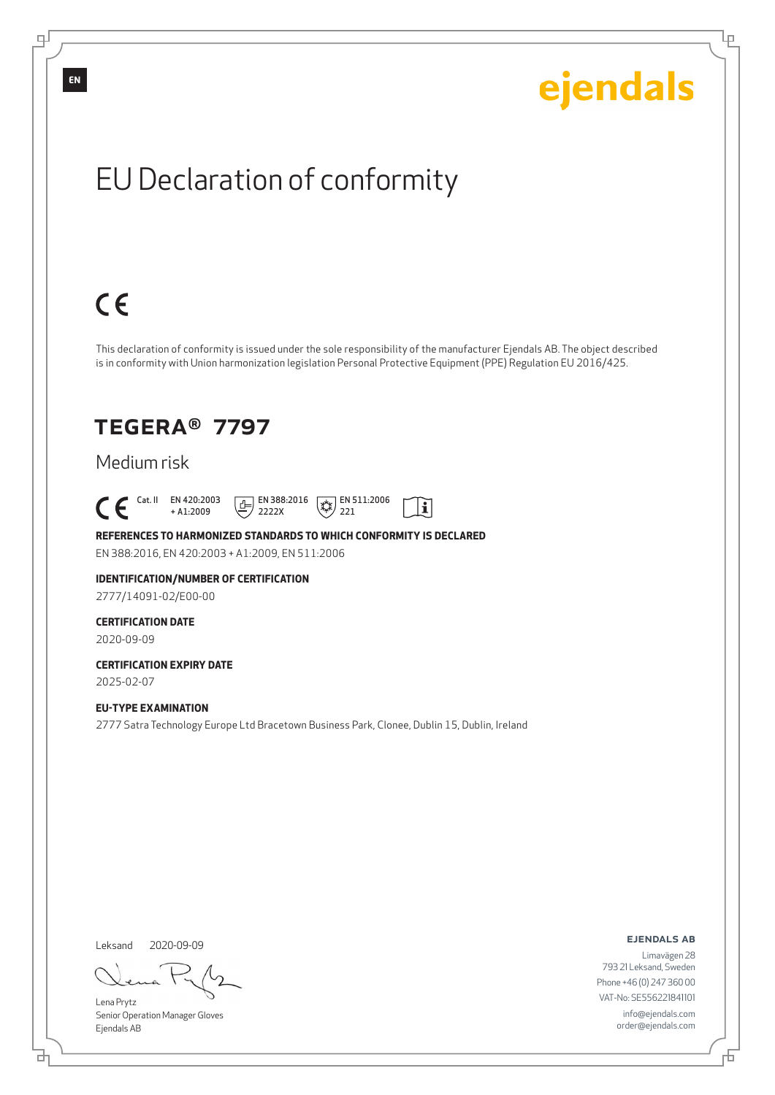Ļμ

## EU Declaration of conformity

## $C \in$

This declaration of conformity is issued under the sole responsibility of the manufacturer Ejendals AB. The object described is in conformity with Union harmonization legislation Personal Protective Equipment (PPE) Regulation EU 2016/425.

 $\tilde{\mathbf{i}}$ 

### TEGERA® 7797

### Medium risk

 $\begin{bmatrix} \mathsf{Cat} & \mathsf{II} & \mathsf{EN} & 420:2003 \\ + & \mathsf{A} & 1:2009 \end{bmatrix}$ + A1:2009  $\boxed{E}$  EN 388:2016 2222X  $\sqrt{\frac{1}{2}}$  EN 511:2006 221

### **REFERENCES TO HARMONIZED STANDARDS TO WHICH CONFORMITY IS DECLARED**

EN 388:2016, EN 420:2003 + A1:2009, EN 511:2006

#### **IDENTIFICATION/NUMBER OF CERTIFICATION** 2777/14091-02/E00-00

#### **CERTIFICATION DATE**

2020-09-09

#### **CERTIFICATION EXPIRY DATE** 2025-02-07

**EU-TYPE EXAMINATION** 2777 Satra Technology Europe Ltd Bracetown Business Park, Clonee, Dublin 15, Dublin, Ireland

Leksand 2020-09-09

<u>다</u>

Lena Prytz Senior Operation Manager Gloves Ejendals AB

#### ejendals ab

Đ

Limavägen 28 793 21 Leksand, Sweden Phone +46 (0) 247 360 00 VAT-No: SE556221841101 info@ejendals.com order@ejendals.com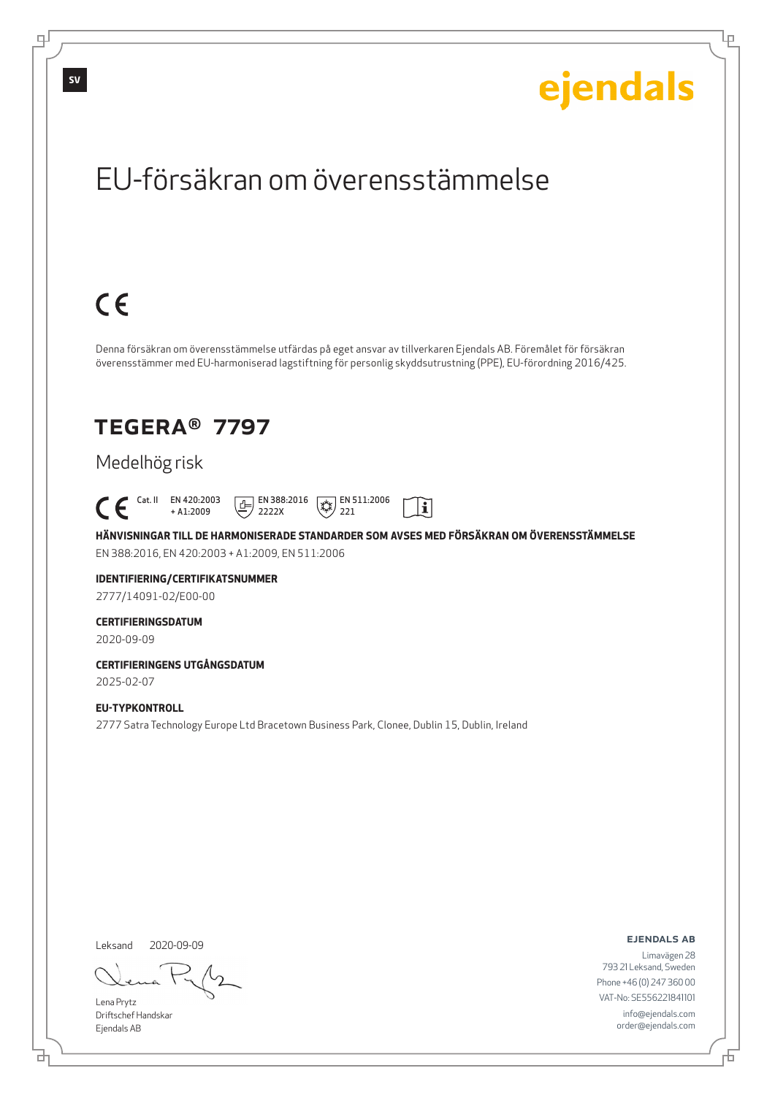Lρ

## EU-försäkran om överensstämmelse

## $C \in$

Denna försäkran om överensstämmelse utfärdas på eget ansvar av tillverkaren Ejendals AB. Föremålet för försäkran överensstämmer med EU-harmoniserad lagstiftning för personlig skyddsutrustning (PPE), EU-förordning 2016/425.

### TEGERA® 7797

### Medelhög risk

 $\begin{bmatrix} \mathsf{Cat} & \mathsf{II} & \mathsf{EN} & 420:2003 \\ + & 41:2009 \end{bmatrix}$  $\boxed{E}$  EN 388:2016  $\sqrt{*}$  EN 511:2006  $|\tilde{\mathbf{i}}|$ + A1:2009 2222X 221

**HÄNVISNINGAR TILL DE HARMONISERADE STANDARDER SOM AVSES MED FÖRSÄKRAN OM ÖVERENSSTÄMMELSE** EN 388:2016, EN 420:2003 + A1:2009, EN 511:2006

### **IDENTIFIERING/CERTIFIKATSNUMMER**

2777/14091-02/E00-00

#### **CERTIFIERINGSDATUM**

2020-09-09

#### **CERTIFIERINGENS UTGÅNGSDATUM** 2025-02-07

#### **EU-TYPKONTROLL**

2777 Satra Technology Europe Ltd Bracetown Business Park, Clonee, Dublin 15, Dublin, Ireland

Leksand

2020-09-09

Lena Prytz Driftschef Handskar Ejendals AB

<u>다</u>

ejendals ab

Limavägen 28 793 21 Leksand, Sweden Phone +46 (0) 247 360 00 VAT-No: SE556221841101 info@ejendals.com order@ejendals.com

டி

**SV**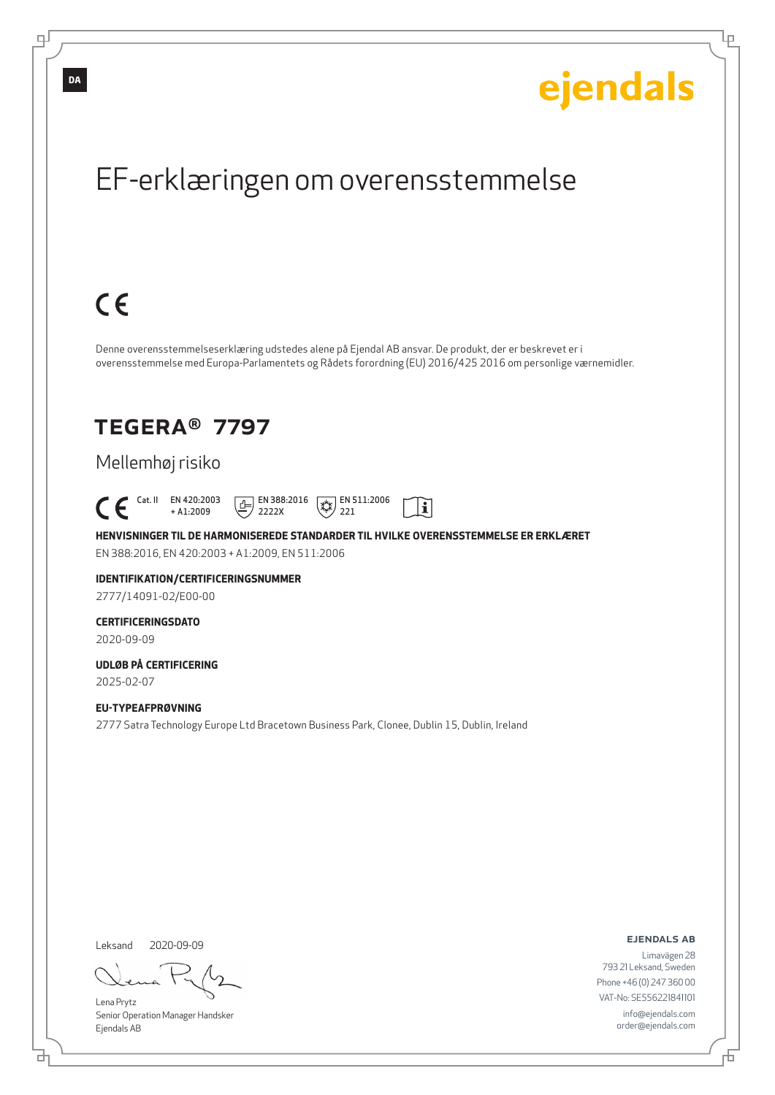Ļμ

## EF-erklæringen om overensstemmelse

## $C \in$

Denne overensstemmelseserklæring udstedes alene på Ejendal AB ansvar. De produkt, der er beskrevet er i overensstemmelse med Europa-Parlamentets og Rådets forordning (EU) 2016/425 2016 om personlige værnemidler.

### TEGERA® 7797

### Mellemhøj risiko

 Cat. II EN 420:2003 + A1:2009  $\boxed{E}$  EN 388:2016 2222X  $\mathbb{R}$  EN 511:2006 221

**HENVISNINGER TIL DE HARMONISEREDE STANDARDER TIL HVILKE OVERENSSTEMMELSE ER ERKLÆRET** EN 388:2016, EN 420:2003 + A1:2009, EN 511:2006

 $\mathbf{i}$ 

### **IDENTIFIKATION/CERTIFICERINGSNUMMER**

2777/14091-02/E00-00

#### **CERTIFICERINGSDATO**

2020-09-09

#### **UDLØB PÅ CERTIFICERING** 2025-02-07

**EU-TYPEAFPRØVNING** 2777 Satra Technology Europe Ltd Bracetown Business Park, Clonee, Dublin 15, Dublin, Ireland

Leksand 2020-09-09

브

Lena Prytz Senior Operation Manager Handsker Ejendals AB

ejendals ab

Đ

Limavägen 28 793 21 Leksand, Sweden Phone +46 (0) 247 360 00 VAT-No: SE556221841101 info@ejendals.com order@ejendals.com

**DA**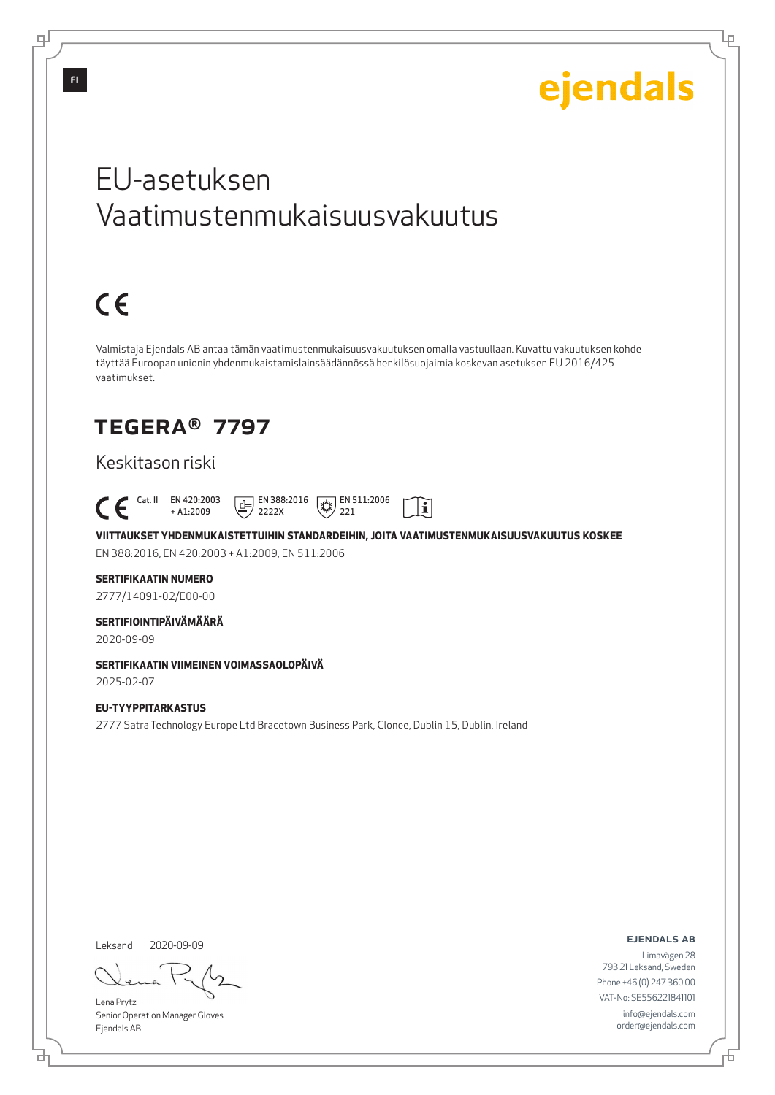Lμ

## EU-asetuksen Vaatimustenmukaisuusvakuutus

# $C \in$

Valmistaja Ejendals AB antaa tämän vaatimustenmukaisuusvakuutuksen omalla vastuullaan. Kuvattu vakuutuksen kohde täyttää Euroopan unionin yhdenmukaistamislainsäädännössä henkilösuojaimia koskevan asetuksen EU 2016/425 vaatimukset.

### TEGERA® 7797

### Keskitason riski

 Cat. II EN 420:2003  $\boxed{E}$  EN 388:2016  $\mathbb{R}$  EN 511:2006  $|\tilde{\mathbf{i}}|$ + A1:2009 2222X 221

**VIITTAUKSET YHDENMUKAISTETTUIHIN STANDARDEIHIN, JOITA VAATIMUSTENMUKAISUUSVAKUUTUS KOSKEE** EN 388:2016, EN 420:2003 + A1:2009, EN 511:2006

#### **SERTIFIKAATIN NUMERO**

2777/14091-02/E00-00

#### **SERTIFIOINTIPÄIVÄMÄÄRÄ**

2020-09-09

### **SERTIFIKAATIN VIIMEINEN VOIMASSAOLOPÄIVÄ**

2025-02-07

#### **EU-TYYPPITARKASTUS** 2777 Satra Technology Europe Ltd Bracetown Business Park, Clonee, Dublin 15, Dublin, Ireland

Leksand 2020-09-09

브

Lena Prytz Senior Operation Manager Gloves Ejendals AB

ejendals ab

Б

Limavägen 28 793 21 Leksand, Sweden Phone +46 (0) 247 360 00 VAT-No: SE556221841101 info@ejendals.com order@ejendals.com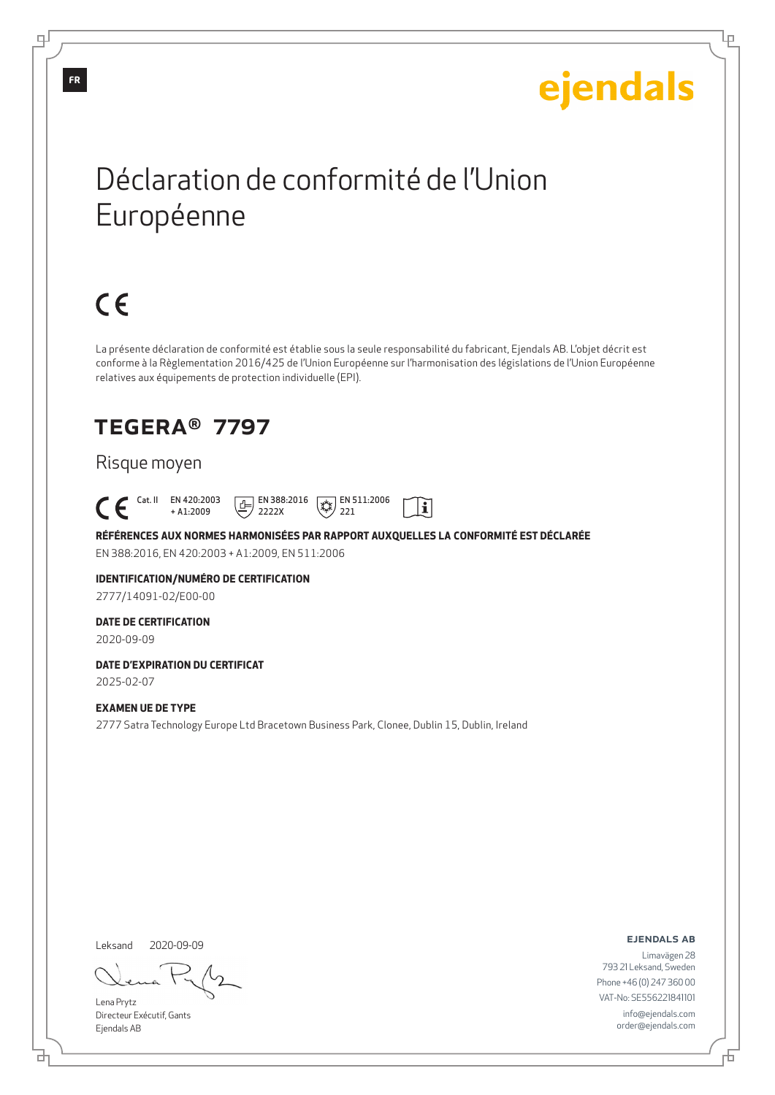Ļμ

## Déclaration de conformité de l'Union Européenne

# $C \in$

La présente déclaration de conformité est établie sous la seule responsabilité du fabricant, Ejendals AB. L'objet décrit est conforme à la Règlementation 2016/425 de l'Union Européenne sur l'harmonisation des législations de l'Union Européenne relatives aux équipements de protection individuelle (EPI).

## TEGERA® 7797

#### Risque moyen

 Cat. II EN 420:2003  $\boxed{\underline{f}}$  EN 388:2016  $\mathbb{R}$  EN 511:2006  $|\tilde{\mathbf{i}}|$ + A1:2009 2222X 221

**RÉFÉRENCES AUX NORMES HARMONISÉES PAR RAPPORT AUXQUELLES LA CONFORMITÉ EST DÉCLARÉE** EN 388:2016, EN 420:2003 + A1:2009, EN 511:2006

#### **IDENTIFICATION/NUMÉRO DE CERTIFICATION** 2777/14091-02/E00-00

#### **DATE DE CERTIFICATION**

2020-09-09

#### **DATE D'EXPIRATION DU CERTIFICAT** 2025-02-07

**EXAMEN UE DE TYPE**

2777 Satra Technology Europe Ltd Bracetown Business Park, Clonee, Dublin 15, Dublin, Ireland

Leksand 2020-09-09

Lena Prytz Directeur Exécutif, Gants Ejendals AB

ejendals ab

Б

Limavägen 28 793 21 Leksand, Sweden Phone +46 (0) 247 360 00 VAT-No: SE556221841101 info@ejendals.com order@ejendals.com

டி

**FR**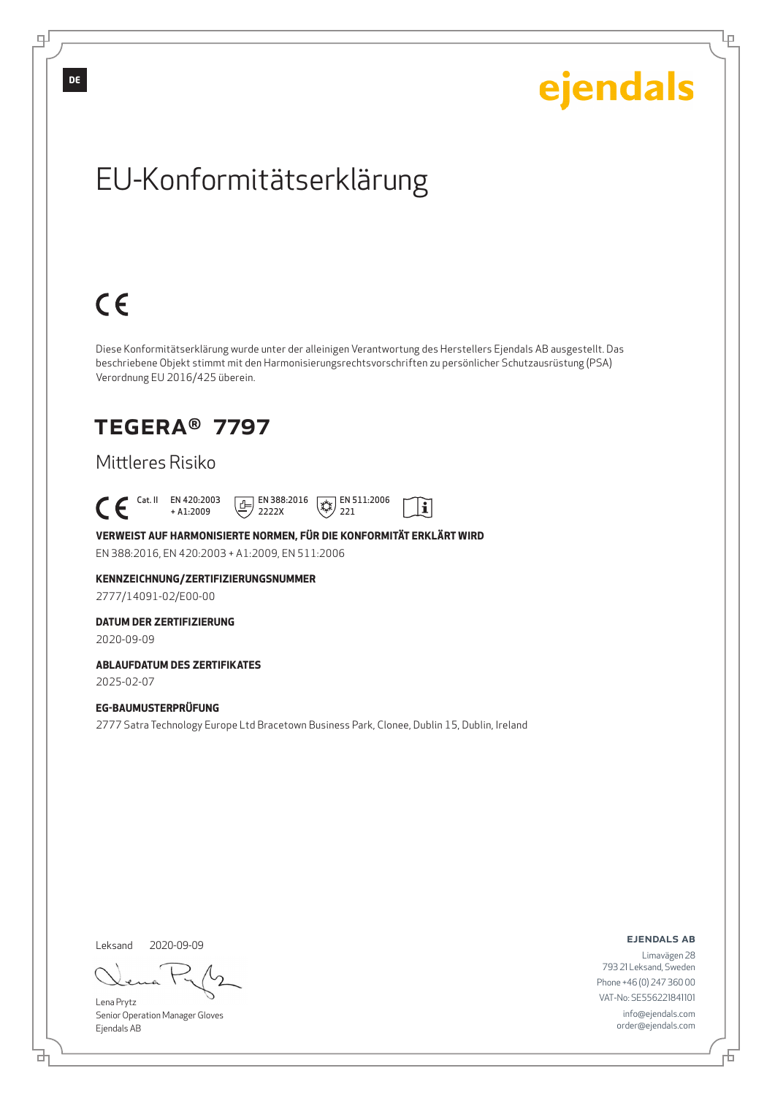Ļμ

## EU-Konformitätserklärung

# $C \in$

Diese Konformitätserklärung wurde unter der alleinigen Verantwortung des Herstellers Ejendals AB ausgestellt. Das beschriebene Objekt stimmt mit den Harmonisierungsrechtsvorschriften zu persönlicher Schutzausrüstung (PSA) Verordnung EU 2016/425 überein.

### TEGERA® 7797

### Mittleres Risiko

 Cat. II EN 420:2003  $\boxed{E}$  EN 388:2016  $\sqrt{\frac{1}{2}}$  EN 511:2006  $\mathbf{r}$ + A1:2009 2222X 221

**VERWEIST AUF HARMONISIERTE NORMEN, FÜR DIE KONFORMITÄT ERKLÄRT WIRD** EN 388:2016, EN 420:2003 + A1:2009, EN 511:2006

**KENNZEICHNUNG/ZERTIFIZIERUNGSNUMMER** 2777/14091-02/E00-00

**DATUM DER ZERTIFIZIERUNG**

2020-09-09

**ABLAUFDATUM DES ZERTIFIKATES**

2025-02-07

#### **EG-BAUMUSTERPRÜFUNG**

2777 Satra Technology Europe Ltd Bracetown Business Park, Clonee, Dublin 15, Dublin, Ireland

Leksand 2020-09-09

<u>다</u>

Lena Prytz Senior Operation Manager Gloves Ejendals AB

ejendals ab

Đ

Limavägen 28 793 21 Leksand, Sweden Phone +46 (0) 247 360 00 VAT-No: SE556221841101 info@ejendals.com order@ejendals.com

**DE**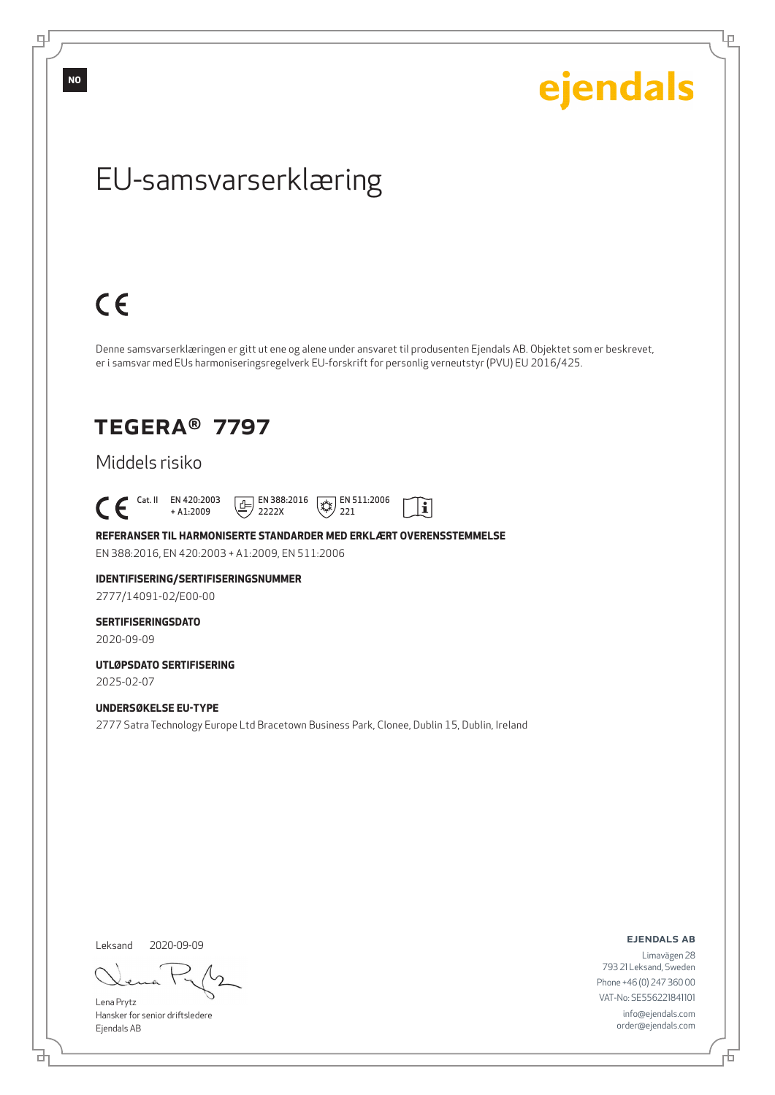டி

ejendals

Ļμ

## EU-samsvarserklæring

# $C \in$

Denne samsvarserklæringen er gitt ut ene og alene under ansvaret til produsenten Ejendals AB. Objektet som er beskrevet, er i samsvar med EUs harmoniseringsregelverk EU-forskrift for personlig verneutstyr (PVU) EU 2016/425.

 $\mathbf{i}$ 

### TEGERA® 7797

### Middels risiko

 $\begin{bmatrix} \text{Cat. II} & \text{EN } 420:2003 \\ + A1:2009 \end{bmatrix}$ + A1:2009  $\boxed{1}$  EN 388:2016 2222X  $\sqrt{\frac{1}{2}}$  EN 511:2006 221

**REFERANSER TIL HARMONISERTE STANDARDER MED ERKLÆRT OVERENSSTEMMELSE** EN 388:2016, EN 420:2003 + A1:2009, EN 511:2006

### **IDENTIFISERING/SERTIFISERINGSNUMMER**

2777/14091-02/E00-00

#### **SERTIFISERINGSDATO**

2020-09-09

#### **UTLØPSDATO SERTIFISERING** 2025-02-07

**UNDERSØKELSE EU-TYPE**

2777 Satra Technology Europe Ltd Bracetown Business Park, Clonee, Dublin 15, Dublin, Ireland

Leksand 2020-09-09

Lena Prytz Hansker for senior driftsledere Ejendals AB

ejendals ab

Đ

Limavägen 28 793 21 Leksand, Sweden Phone +46 (0) 247 360 00 VAT-No: SE556221841101 info@ejendals.com order@ejendals.com

<u>다</u>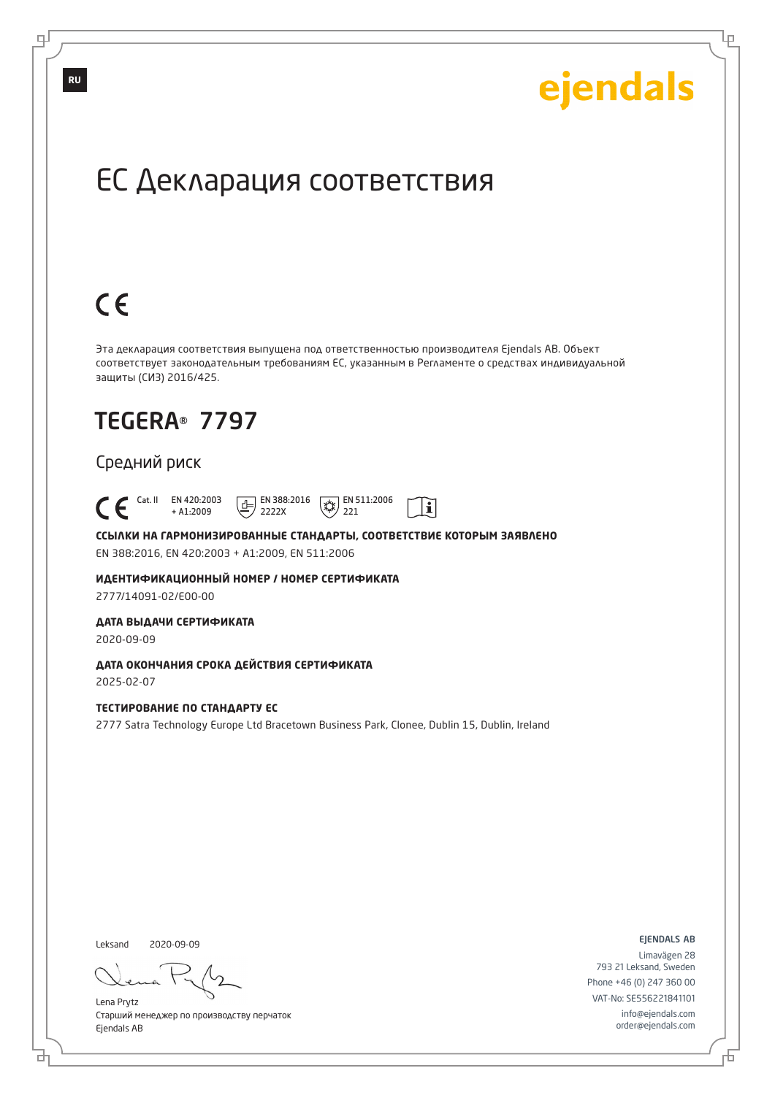Lр

## ЕС Декларация соответствия

# $C \in$

Эта декларация соответствия выпущена под ответственностью производителя Ejendals AB. Объект соответствует законодательным требованиям ЕС, указанным в Регламенте о средствах индивидуальной защиты (СИЗ) 2016/425.

## TEGERA® 7797

### Средний риск

 Cat. II EN 420:2003  $\boxed{E}$  EN 388:2016  $\overline{**}$  EN 511:2006  $|\tilde{\mathbf{i}}|$ + A1:2009 2222X 221

**ССЫЛКИ НА ГАРМОНИЗИРОВАННЫЕ СТАНДАРТЫ, СООТВЕТСТВИЕ КОТОРЫМ ЗАЯВЛЕНО** EN 388:2016, EN 420:2003 + A1:2009, EN 511:2006

**ИДЕНТИФИКАЦИОННЫЙ НОМЕР / НОМЕР СЕРТИФИКАТА** 2777/14091-02/E00-00

**ДАТА ВЫДАЧИ СЕРТИФИКАТА**

2020-09-09

**ДАТА ОКОНЧАНИЯ СРОКА ДЕЙСТВИЯ СЕРТИФИКАТА** 2025-02-07

**ТЕСТИРОВАНИЕ ПО СТАНДАРТУ ЕС**

2777 Satra Technology Europe Ltd Bracetown Business Park, Clonee, Dublin 15, Dublin, Ireland

Leksand 2020-09-09

브

Lena Prytz Старший менеджер по производству перчаток Ejendals AB

ejendals ab

Đ

Limavägen 28 793 21 Leksand, Sweden Phone +46 (0) 247 360 00 VAT-No: SE556221841101 info@ejendals.com order@ejendals.com

டி

**RU**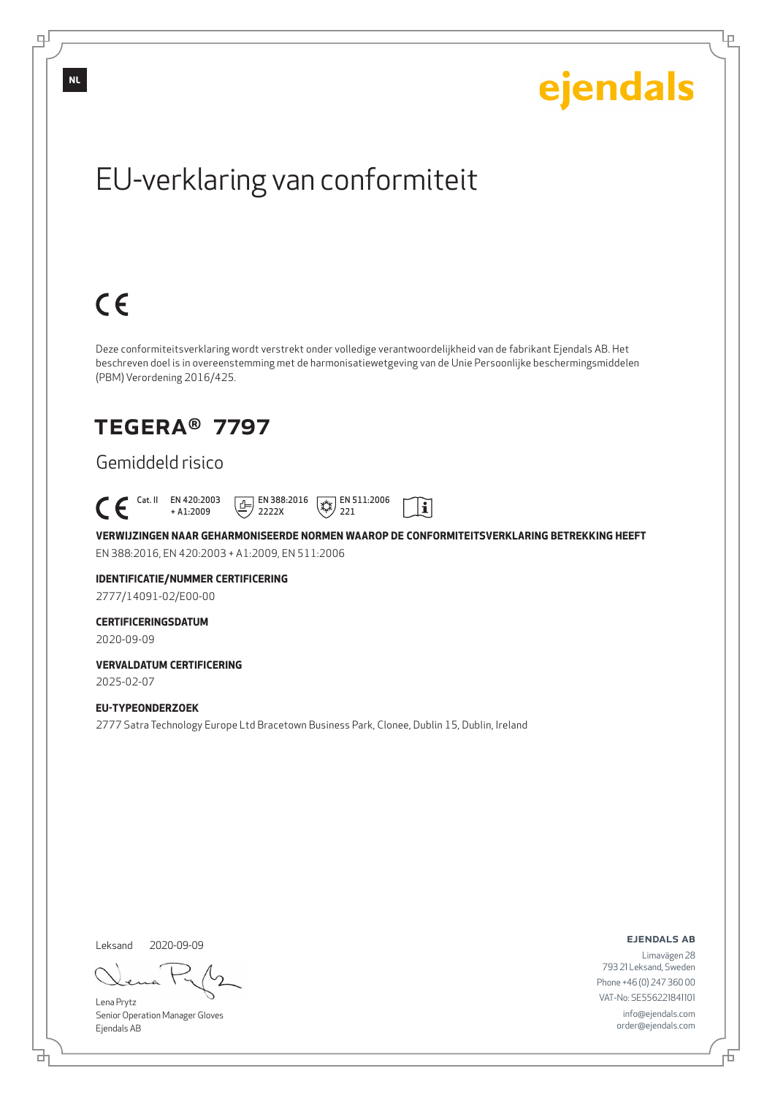Ļμ

## EU-verklaring van conformiteit

# $C \in$

Deze conformiteitsverklaring wordt verstrekt onder volledige verantwoordelijkheid van de fabrikant Ejendals AB. Het beschreven doel is in overeenstemming met de harmonisatiewetgeving van de Unie Persoonlijke beschermingsmiddelen (PBM) Verordening 2016/425.

### TEGERA® 7797

### Gemiddeld risico

 Cat. II EN 420:2003  $\boxed{E}$  EN 388:2016  $\mathbb{R}$  EN 511:2006  $\mathbf{i}$ + A1:2009 2222X 221

**VERWIJZINGEN NAAR GEHARMONISEERDE NORMEN WAAROP DE CONFORMITEITSVERKLARING BETREKKING HEEFT** EN 388:2016, EN 420:2003 + A1:2009, EN 511:2006

### **IDENTIFICATIE/NUMMER CERTIFICERING**

2777/14091-02/E00-00

#### **CERTIFICERINGSDATUM**

2020-09-09

#### **VERVALDATUM CERTIFICERING** 2025-02-07

**EU-TYPEONDERZOEK**

2777 Satra Technology Europe Ltd Bracetown Business Park, Clonee, Dublin 15, Dublin, Ireland

Leksand 2020-09-09

브

Lena Prytz Senior Operation Manager Gloves Ejendals AB

#### ejendals ab

Đ

Limavägen 28 793 21 Leksand, Sweden Phone +46 (0) 247 360 00 VAT-No: SE556221841101 info@ejendals.com order@ejendals.com

டி

**NL**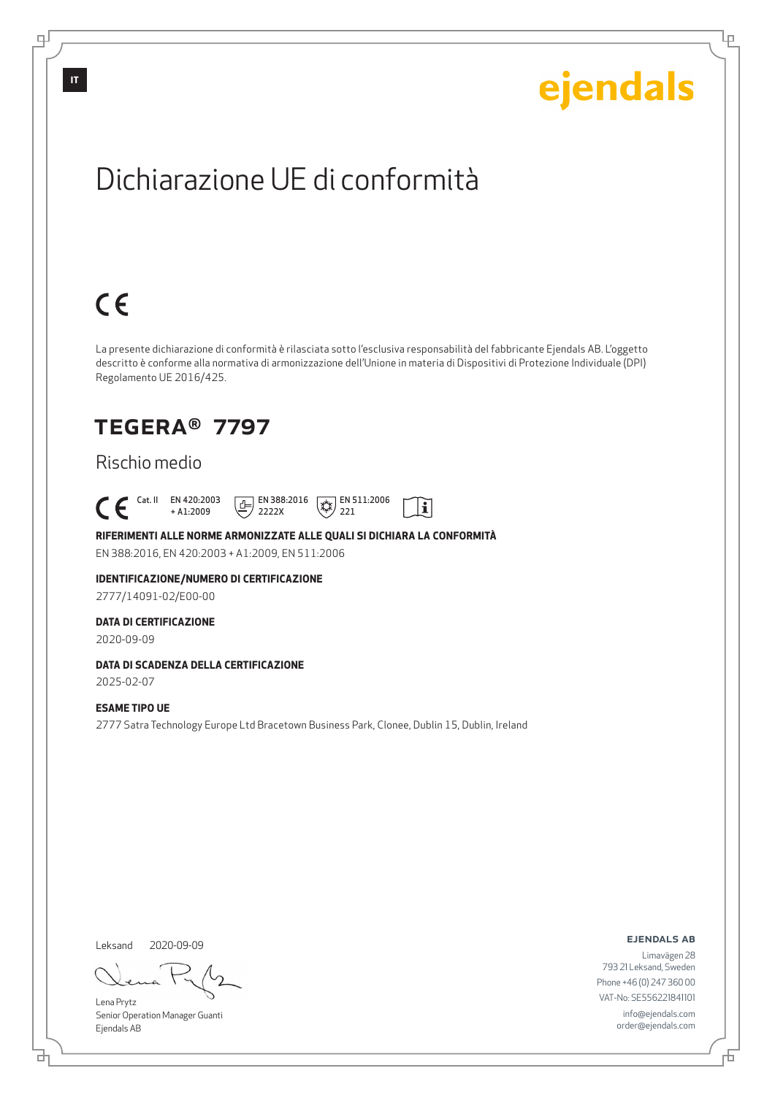Lρ

## Dichiarazione UE di conformità

# $C \in$

La presente dichiarazione di conformità è rilasciata sotto l'esclusiva responsabilità del fabbricante Ejendals AB. L'oggetto descritto è conforme alla normativa di armonizzazione dell'Unione in materia di Dispositivi di Protezione Individuale (DPI) Regolamento UE 2016/425.

### TEGERA® 7797

### Rischio medio

 Cat. II EN 420:2003  $\boxed{E}$  EN 388:2016  $\sqrt{\frac{1}{2}}$  EN 511:2006  $\mathbf{i}$ + A1:2009 2222X 221

#### **RIFERIMENTI ALLE NORME ARMONIZZATE ALLE QUALI SI DICHIARA LA CONFORMITÀ**

EN 388:2016, EN 420:2003 + A1:2009, EN 511:2006

### **IDENTIFICAZIONE/NUMERO DI CERTIFICAZIONE**

2777/14091-02/E00-00

#### **DATA DI CERTIFICAZIONE**

2020-09-09

#### **DATA DI SCADENZA DELLA CERTIFICAZIONE**

2025-02-07

#### **ESAME TIPO UE**

2777 Satra Technology Europe Ltd Bracetown Business Park, Clonee, Dublin 15, Dublin, Ireland

Leksand 2020-09-09

<u>다</u>

Lena Prytz Senior Operation Manager Guanti Ejendals AB

#### ejendals ab

Đ

Limavägen 28 793 21 Leksand, Sweden Phone +46 (0) 247 360 00 VAT-No: SE556221841101 info@ejendals.com order@ejendals.com

டி

**IT**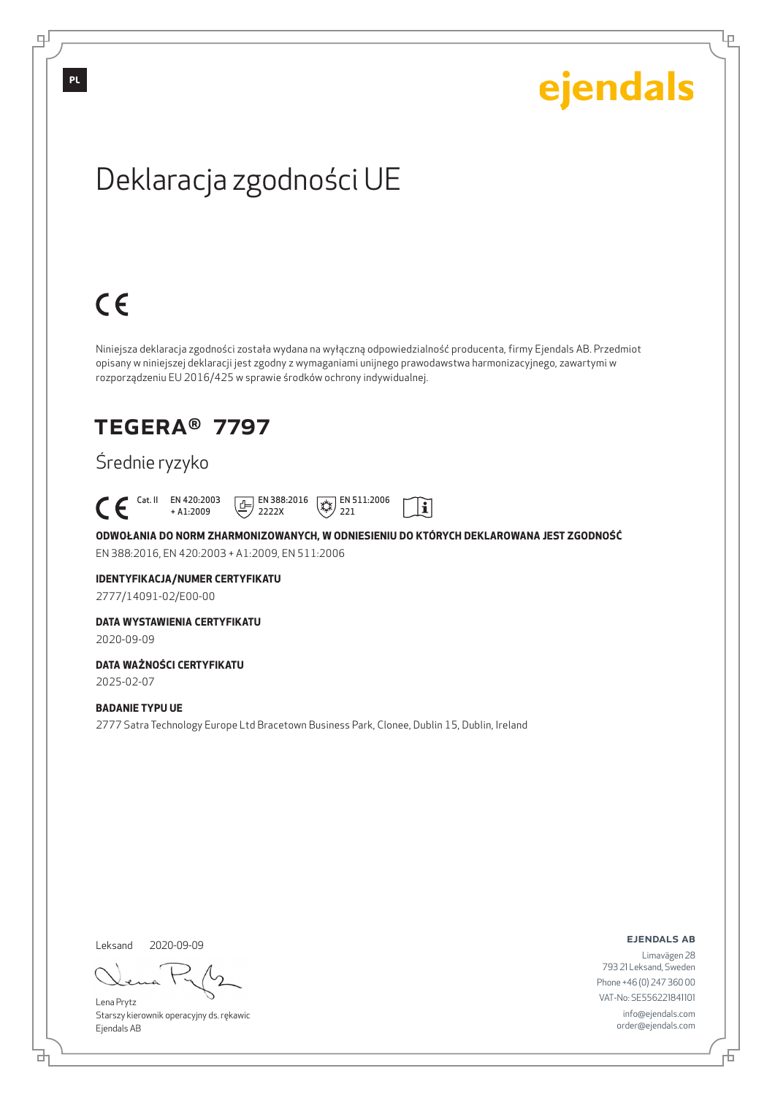Ļμ

## Deklaracja zgodności UE

# $C \in$

Niniejsza deklaracja zgodności została wydana na wyłączną odpowiedzialność producenta, firmy Ejendals AB. Przedmiot opisany w niniejszej deklaracji jest zgodny z wymaganiami unijnego prawodawstwa harmonizacyjnego, zawartymi w rozporządzeniu EU 2016/425 w sprawie środków ochrony indywidualnej.

### TEGERA® 7797

### Średnie ryzyko



**ODWOŁANIA DO NORM ZHARMONIZOWANYCH, W ODNIESIENIU DO KTÓRYCH DEKLAROWANA JEST ZGODNOŚĆ** EN 388:2016, EN 420:2003 + A1:2009, EN 511:2006

### **IDENTYFIKACJA/NUMER CERTYFIKATU**

2777/14091-02/E00-00

#### **DATA WYSTAWIENIA CERTYFIKATU**

2020-09-09

#### **DATA WAŻNOŚCI CERTYFIKATU**

2025-02-07

#### **BADANIE TYPU UE**

2777 Satra Technology Europe Ltd Bracetown Business Park, Clonee, Dublin 15, Dublin, Ireland

Leksand 2020-09-09

브

Lena Prytz Starszy kierownik operacyjny ds. rękawic Ejendals AB

ejendals ab

Limavägen 28 793 21 Leksand, Sweden Phone +46 (0) 247 360 00 VAT-No: SE556221841101 info@ejendals.com order@ejendals.com

டி

Б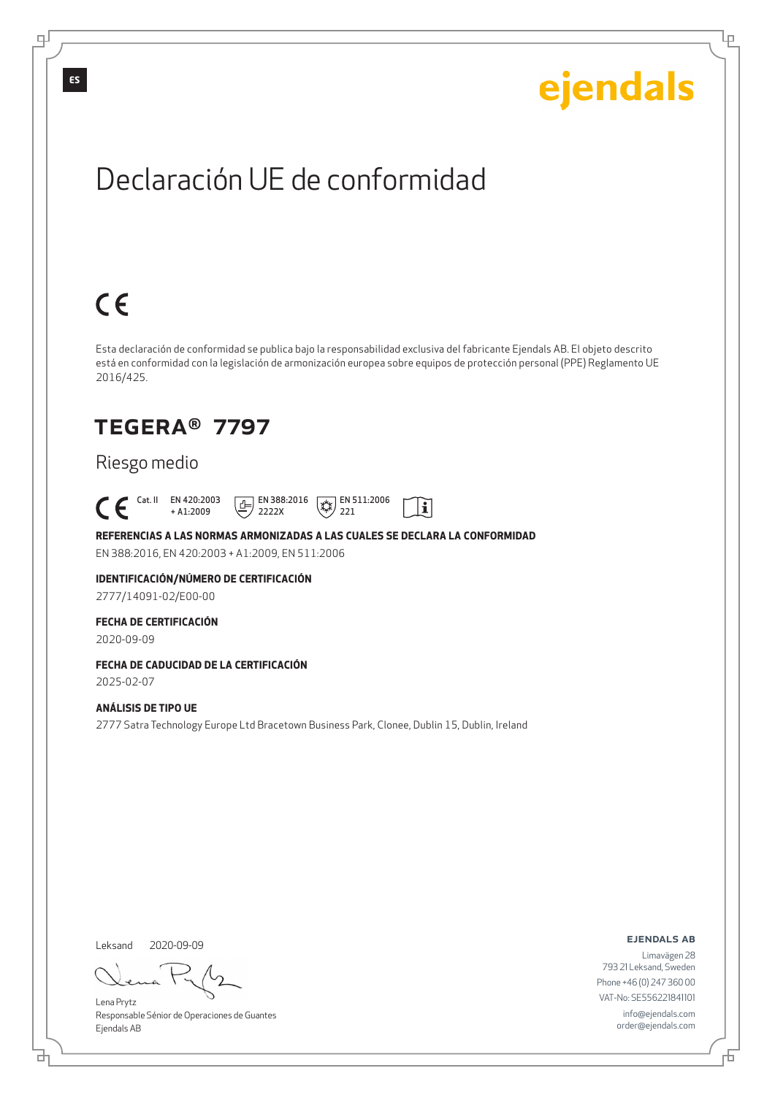Lρ

## Declaración UE de conformidad

# $C \in$

Esta declaración de conformidad se publica bajo la responsabilidad exclusiva del fabricante Ejendals AB. El objeto descrito está en conformidad con la legislación de armonización europea sobre equipos de protección personal (PPE) Reglamento UE 2016/425.

 $\mathbf{i}$ 

### TEGERA® 7797

### Riesgo medio

 Cat. II EN 420:2003 + A1:2009  $\boxed{1}$  EN 388:2016 2222X  $\sqrt{\frac{1}{2}}$  EN 511:2006 221

**REFERENCIAS A LAS NORMAS ARMONIZADAS A LAS CUALES SE DECLARA LA CONFORMIDAD** EN 388:2016, EN 420:2003 + A1:2009, EN 511:2006

**IDENTIFICACIÓN/NÚMERO DE CERTIFICACIÓN**

2777/14091-02/E00-00

#### **FECHA DE CERTIFICACIÓN**

2020-09-09

### **FECHA DE CADUCIDAD DE LA CERTIFICACIÓN**

2025-02-07

#### **ANÁLISIS DE TIPO UE**

2777 Satra Technology Europe Ltd Bracetown Business Park, Clonee, Dublin 15, Dublin, Ireland

Leksand 2020-09-09

<u>다</u>

Lena Prytz Responsable Sénior de Operaciones de Guantes Ejendals AB

ejendals ab

Б

Limavägen 28 793 21 Leksand, Sweden Phone +46 (0) 247 360 00 VAT-No: SE556221841101 info@ejendals.com order@ejendals.com

டி

**ES**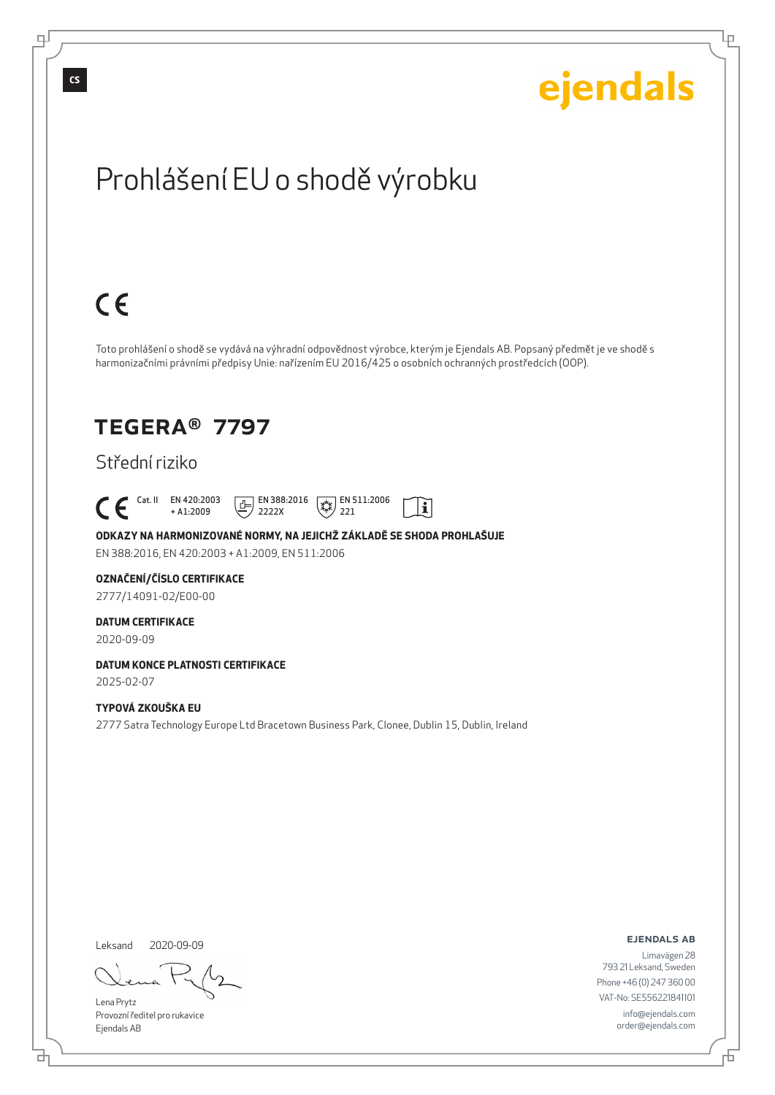டி

ejendals

Ļμ

## Prohlášení EU o shodě výrobku

## $C \in$

Toto prohlášení o shodě se vydává na výhradní odpovědnost výrobce, kterým je Ejendals AB. Popsaný předmět je ve shodě s harmonizačními právními předpisy Unie: nařízením EU 2016/425 o osobních ochranných prostředcích (OOP).

 $|\tilde{\mathbf{i}}|$ 

### TEGERA® 7797

### Střední riziko

 Cat. II EN 420:2003 + A1:2009  $\boxed{E}$  EN 388:2016 2222X  $\sqrt{\frac{1}{2}}$  EN 511:2006 221

**ODKAZY NA HARMONIZOVANÉ NORMY, NA JEJICHŽ ZÁKLADĚ SE SHODA PROHLAŠUJE** EN 388:2016, EN 420:2003 + A1:2009, EN 511:2006

#### **OZNAČENÍ/ČÍSLO CERTIFIKACE**

2777/14091-02/E00-00

#### **DATUM CERTIFIKACE**

2020-09-09

#### **DATUM KONCE PLATNOSTI CERTIFIKACE** 2025-02-07

#### **TYPOVÁ ZKOUŠKA EU**

2777 Satra Technology Europe Ltd Bracetown Business Park, Clonee, Dublin 15, Dublin, Ireland

Leksand 2020-09-09

<u>다</u>

Lena Prytz Provozní ředitel pro rukavice Ejendals AB

#### ejendals ab

Đ

Limavägen 28 793 21 Leksand, Sweden Phone +46 (0) 247 360 00 VAT-No: SE556221841101 info@ejendals.com order@ejendals.com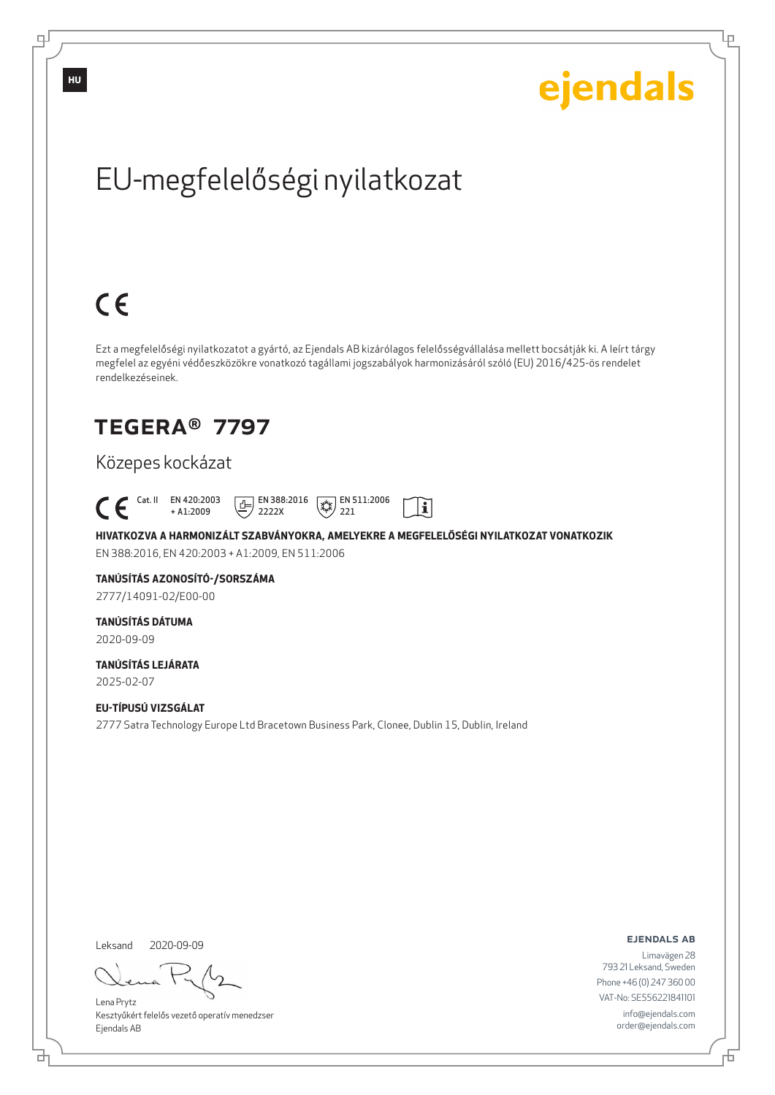Ļμ

# EU-megfelelőségi nyilatkozat

# $C \in$

Ezt a megfelelőségi nyilatkozatot a gyártó, az Ejendals AB kizárólagos felelősségvállalása mellett bocsátják ki. A leírt tárgy megfelel az egyéni védőeszközökre vonatkozó tagállami jogszabályok harmonizásáról szóló (EU) 2016/425-ös rendelet rendelkezéseinek.

### TEGERA® 7797

### Közepes kockázat

 Cat. II EN 420:2003  $\boxed{E}$  EN 388:2016  $\mathbb{R}$  EN 511:2006  $\mathbf{i}$ + A1:2009 2222X 221

**HIVATKOZVA A HARMONIZÁLT SZABVÁNYOKRA, AMELYEKRE A MEGFELELŐSÉGI NYILATKOZAT VONATKOZIK** EN 388:2016, EN 420:2003 + A1:2009, EN 511:2006

### **TANÚSÍTÁS AZONOSÍTÓ-/SORSZÁMA**

2777/14091-02/E00-00

### **TANÚSÍTÁS DÁTUMA**

2020-09-09

#### **TANÚSÍTÁS LEJÁRATA** 2025-02-07

**EU-TÍPUSÚ VIZSGÁLAT** 2777 Satra Technology Europe Ltd Bracetown Business Park, Clonee, Dublin 15, Dublin, Ireland

Leksand 2020-09-09

브

Lena Prytz Kesztyűkért felelős vezető operatív menedzser Ejendals AB

ejendals ab

Б

Limavägen 28 793 21 Leksand, Sweden Phone +46 (0) 247 360 00 VAT-No: SE556221841101 info@ejendals.com order@ejendals.com

டி

**HU**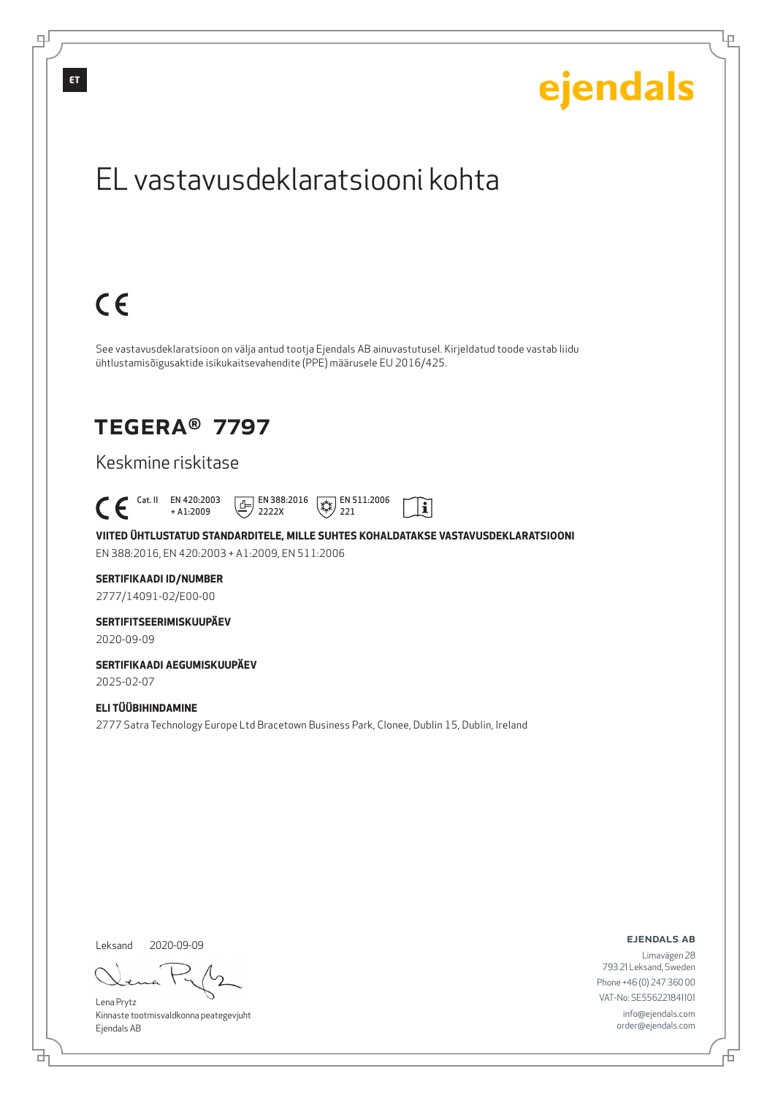

Leksand 2020-09-09

<u>다</u>

டி

Lena Prytz Kinnaste tootmisvaldkonna peategevjuht Ejendals AB

ejendals ab

Lρ

Limavägen 28 793 21 Leksand, Sweden Phone +46 (0) 247 360 00 VAT-No: SE556221841101 info@ejendals.com order@ejendals.com

Đ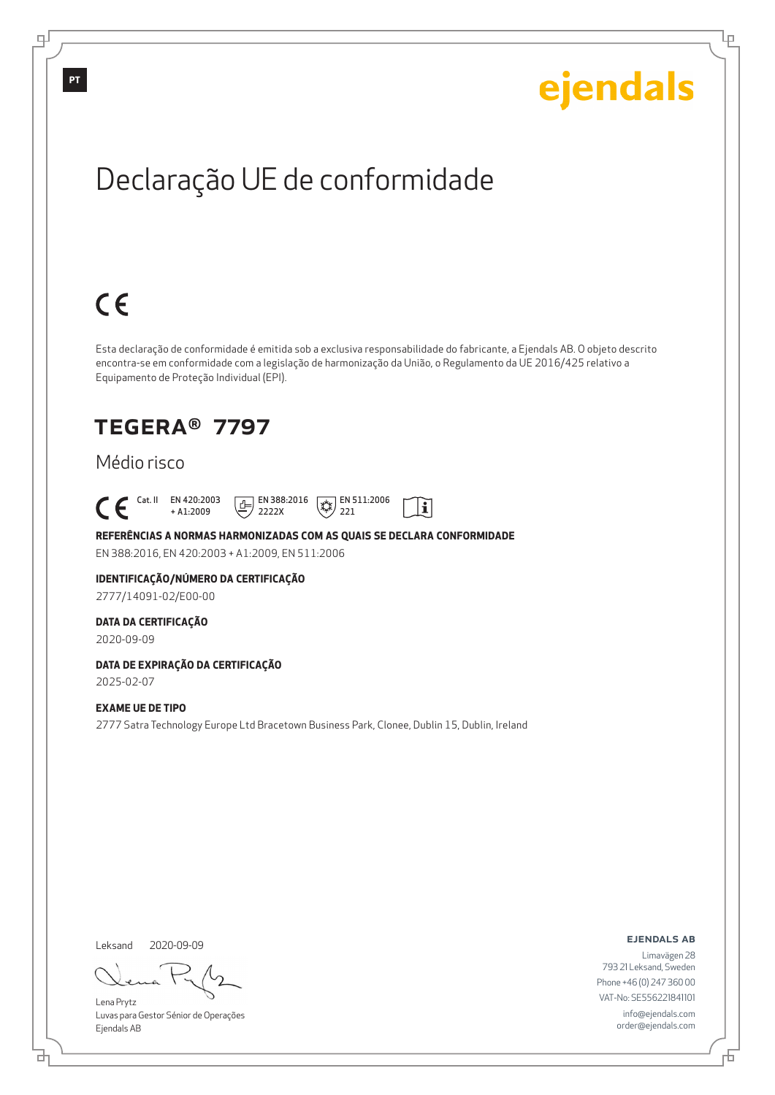Ļμ

## Declaração UE de conformidade

# $C \in$

Esta declaração de conformidade é emitida sob a exclusiva responsabilidade do fabricante, a Ejendals AB. O objeto descrito encontra-se em conformidade com a legislação de harmonização da União, o Regulamento da UE 2016/425 relativo a Equipamento de Proteção Individual (EPI).

 $\mathbf{i}$ 

### TEGERA® 7797

### Médio risco

 Cat. II EN 420:2003 + A1:2009  $\boxed{E}$  EN 388:2016 2222X  $\mathbb{R}$  EN 511:2006 221

**REFERÊNCIAS A NORMAS HARMONIZADAS COM AS QUAIS SE DECLARA CONFORMIDADE** EN 388:2016, EN 420:2003 + A1:2009, EN 511:2006

### **IDENTIFICAÇÃO/NÚMERO DA CERTIFICAÇÃO**

2777/14091-02/E00-00

#### **DATA DA CERTIFICAÇÃO**

2020-09-09

### **DATA DE EXPIRAÇÃO DA CERTIFICAÇÃO**

2025-02-07

#### **EXAME UE DE TIPO**

2777 Satra Technology Europe Ltd Bracetown Business Park, Clonee, Dublin 15, Dublin, Ireland

Leksand 2020-09-09

브

Lena Prytz Luvas para Gestor Sénior de Operações Ejendals AB

ejendals ab

Б

Limavägen 28 793 21 Leksand, Sweden Phone +46 (0) 247 360 00 VAT-No: SE556221841101 info@ejendals.com order@ejendals.com

டி

**PT**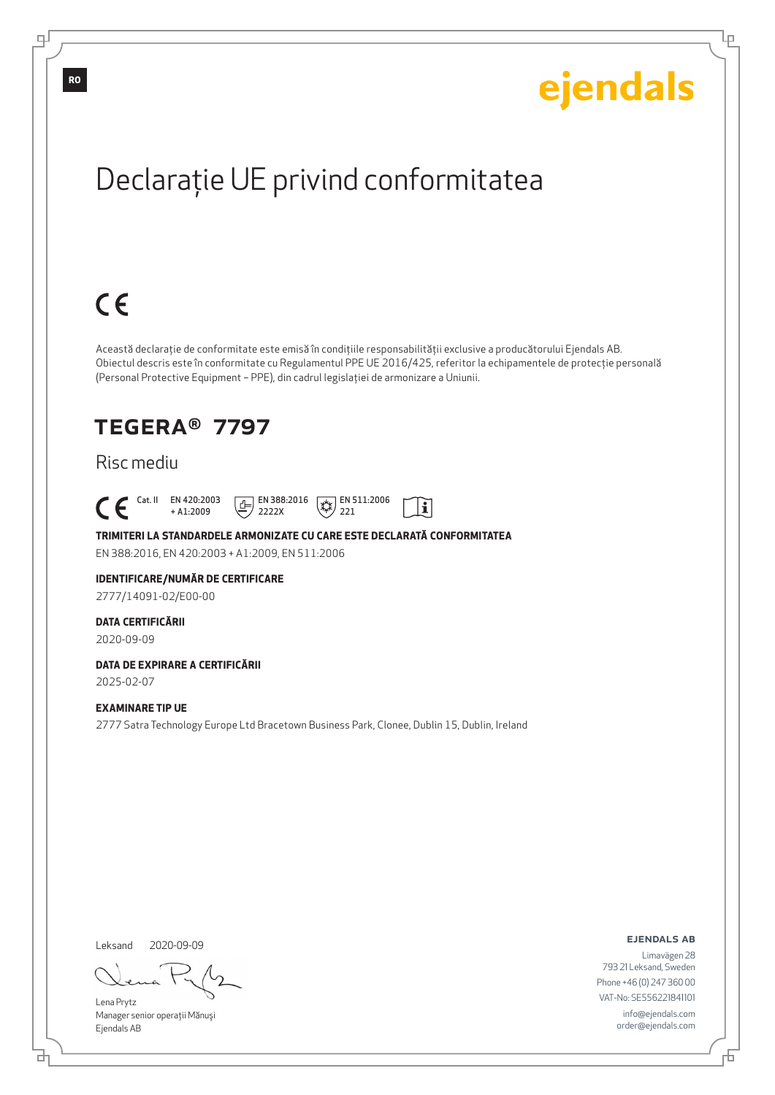Ļμ

# Declaraţie UE privind conformitatea

# $C \in$

Această declaraţie de conformitate este emisă în condiţiile responsabilităţii exclusive a producătorului Ejendals AB. Obiectul descris este în conformitate cu Regulamentul PPE UE 2016/425, referitor la echipamentele de protecţie personală (Personal Protective Equipment – PPE), din cadrul legislaţiei de armonizare a Uniunii.

 $|\tilde{\mathbf{i}}|$ 

### TEGERA® 7797

### Risc mediu

 Cat. II EN 420:2003 + A1:2009  $\boxed{E}$  EN 388:2016 2222X  $\mathbb{R}$  EN 511:2006 221

**TRIMITERI LA STANDARDELE ARMONIZATE CU CARE ESTE DECLARATĂ CONFORMITATEA** EN 388:2016, EN 420:2003 + A1:2009, EN 511:2006

#### **IDENTIFICARE/NUMĂR DE CERTIFICARE**

2777/14091-02/E00-00

#### **DATA CERTIFICĂRII**

2020-09-09

### **DATA DE EXPIRARE A CERTIFICĂRII**

2025-02-07

#### **EXAMINARE TIP UE**

2777 Satra Technology Europe Ltd Bracetown Business Park, Clonee, Dublin 15, Dublin, Ireland

Leksand 2020-09-09

브

Lena Prytz Manager senior operaţii Mănuşi Ejendals AB

ejendals ab

Limavägen 28 793 21 Leksand, Sweden Phone +46 (0) 247 360 00 VAT-No: SE556221841101 info@ejendals.com order@ejendals.com

**RO**

டி

Б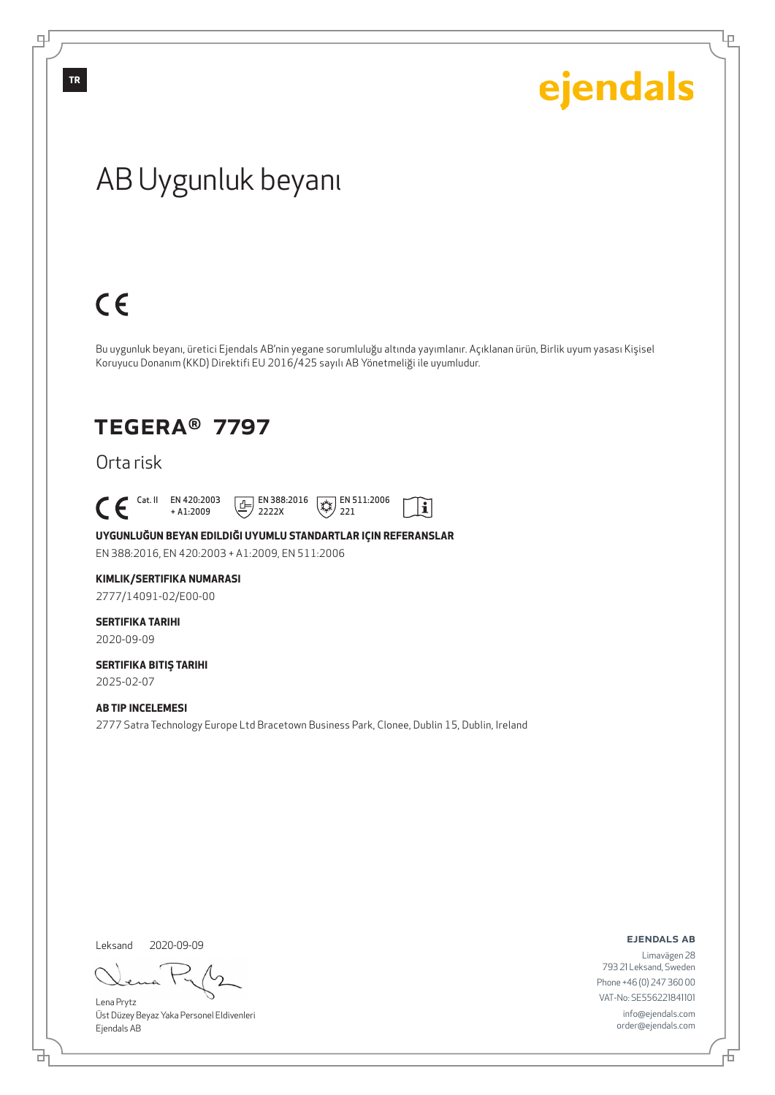Ļμ

## AB Uygunluk beyanı

## $C \in$

Bu uygunluk beyanı, üretici Ejendals AB'nin yegane sorumluluğu altında yayımlanır. Açıklanan ürün, Birlik uyum yasası Kişisel Koruyucu Donanım (KKD) Direktifi EU 2016/425 sayılı AB Yönetmeliği ile uyumludur.

### TEGERA® 7797

Orta risk

 $\begin{bmatrix} \text{Cat. II} & \text{EN } 420:2003 \\ + A1:2009 \end{bmatrix}$ + A1:2009

 $\boxed{E}$  EN 388:2016 2222X



 $|\tilde{\mathbf{i}}|$ 

**UYGUNLUĞUN BEYAN EDILDIĞI UYUMLU STANDARTLAR IÇIN REFERANSLAR**

EN 388:2016, EN 420:2003 + A1:2009, EN 511:2006

#### **KIMLIK/SERTIFIKA NUMARASI**

2777/14091-02/E00-00

### **SERTIFIKA TARIHI**

2020-09-09

### **SERTIFIKA BITIŞ TARIHI**

2025-02-07

#### **AB TIP INCELEMESI**

2777 Satra Technology Europe Ltd Bracetown Business Park, Clonee, Dublin 15, Dublin, Ireland

Leksand 2020-09-09

đ

Lena Prytz Üst Düzey Beyaz Yaka Personel Eldivenleri Ejendals AB

ejendals ab

Limavägen 28 793 21 Leksand, Sweden Phone +46 (0) 247 360 00 VAT-No: SE556221841101 info@ejendals.com order@ejendals.com

டி

**TR**

舌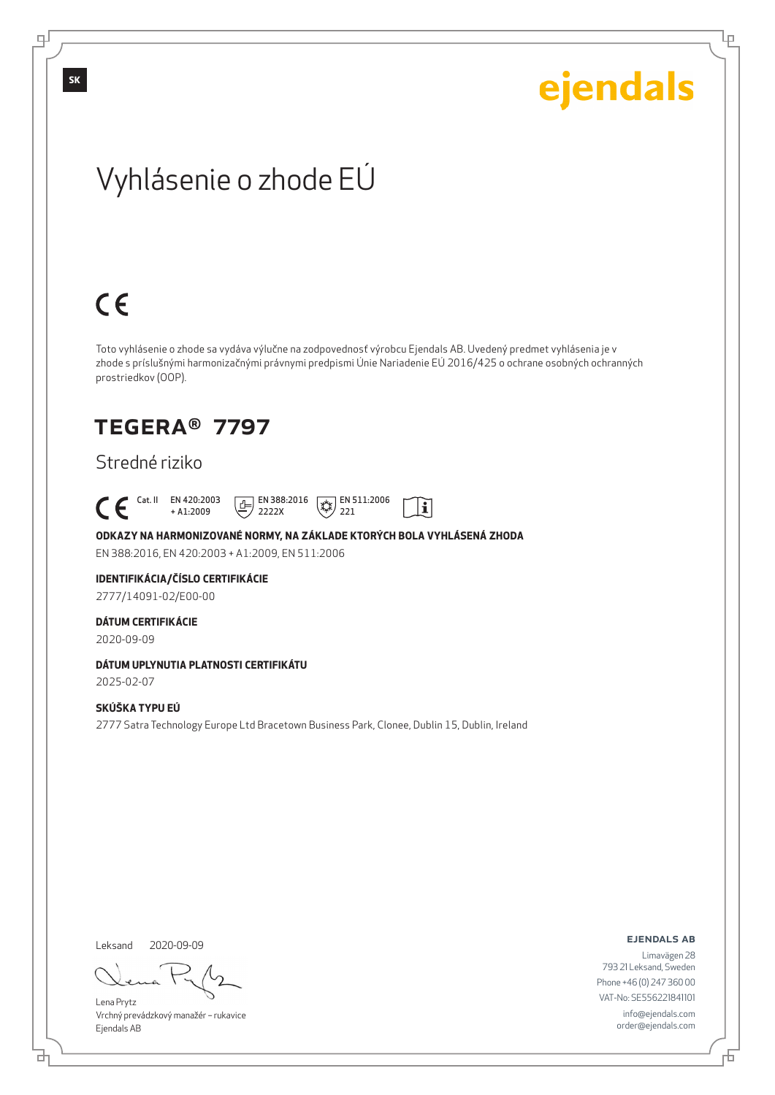Lρ

## Vyhlásenie o zhode EÚ

# $C \in$

Toto vyhlásenie o zhode sa vydáva výlučne na zodpovednosť výrobcu Ejendals AB. Uvedený predmet vyhlásenia je v zhode s príslušnými harmonizačnými právnymi predpismi Únie Nariadenie EÚ 2016/425 o ochrane osobných ochranných prostriedkov (OOP).

 $|\tilde{\mathbf{i}}|$ 

### TEGERA® 7797

### Stredné riziko

 Cat. II EN 420:2003 + A1:2009  $\boxed{1}$  EN 388:2016 2222X  $\sqrt{\frac{1}{2}}$  EN 511:2006 221

**ODKAZY NA HARMONIZOVANÉ NORMY, NA ZÁKLADE KTORÝCH BOLA VYHLÁSENÁ ZHODA** EN 388:2016, EN 420:2003 + A1:2009, EN 511:2006

**IDENTIFIKÁCIA/ČÍSLO CERTIFIKÁCIE**

2777/14091-02/E00-00

#### **DÁTUM CERTIFIKÁCIE**

2020-09-09

### **DÁTUM UPLYNUTIA PLATNOSTI CERTIFIKÁTU**

2025-02-07

#### **SKÚŠKA TYPU EÚ**

2777 Satra Technology Europe Ltd Bracetown Business Park, Clonee, Dublin 15, Dublin, Ireland

Leksand 2020-09-09

<u>다</u>

Lena Prytz Vrchný prevádzkový manažér – rukavice Ejendals AB

ejendals ab

Đ

Limavägen 28 793 21 Leksand, Sweden Phone +46 (0) 247 360 00 VAT-No: SE556221841101 info@ejendals.com order@ejendals.com

டி

**SK**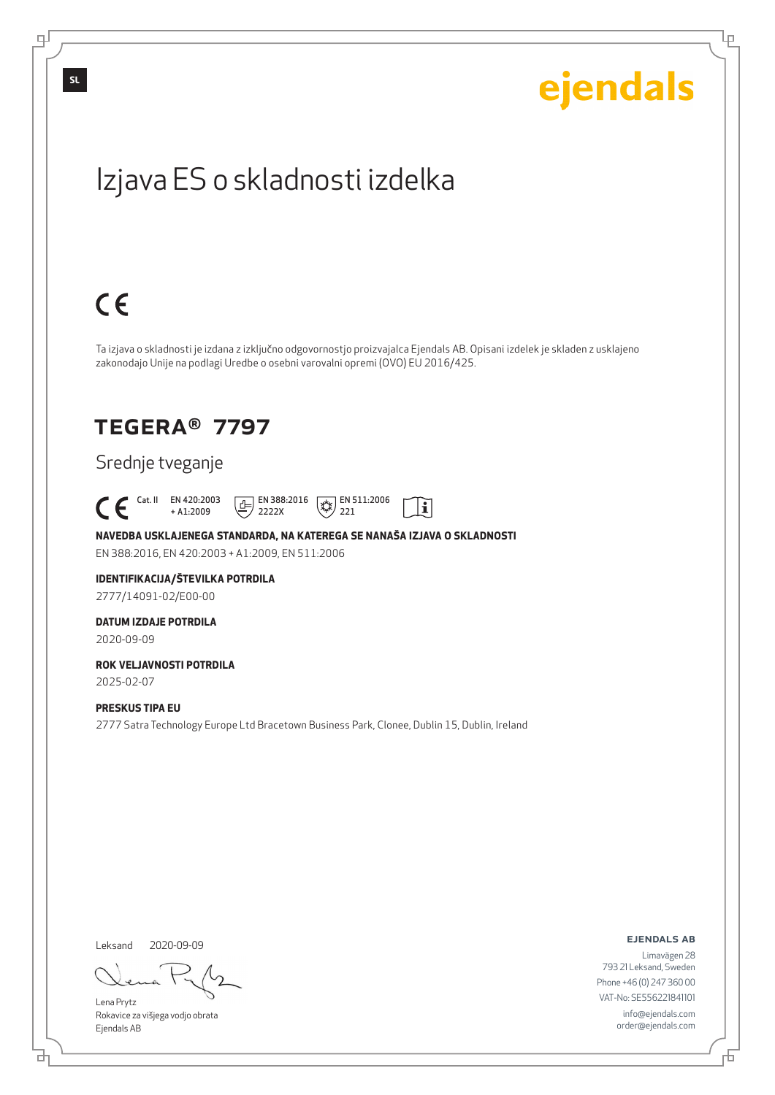Lρ

## Izjava ES o skladnosti izdelka

## $C \in$

Ta izjava o skladnosti je izdana z izključno odgovornostjo proizvajalca Ejendals AB. Opisani izdelek je skladen z usklajeno zakonodajo Unije na podlagi Uredbe o osebni varovalni opremi (OVO) EU 2016/425.

### TEGERA® 7797

### Srednje tveganje

 Cat. II EN 420:2003  $\boxed{E}$  EN 388:2016  $\sqrt{\frac{1}{2}}$  EN 511:2006 li + A1:2009 2222X 221

**NAVEDBA USKLAJENEGA STANDARDA, NA KATEREGA SE NANAŠA IZJAVA O SKLADNOSTI** EN 388:2016, EN 420:2003 + A1:2009, EN 511:2006

#### **IDENTIFIKACIJA/ŠTEVILKA POTRDILA** 2777/14091-02/E00-00

**DATUM IZDAJE POTRDILA**

2020-09-09

#### **ROK VELJAVNOSTI POTRDILA** 2025-02-07

#### **PRESKUS TIPA EU**

2777 Satra Technology Europe Ltd Bracetown Business Park, Clonee, Dublin 15, Dublin, Ireland

Leksand 2020-09-09

<u>다</u>

Lena Prytz Rokavice za višjega vodjo obrata Ejendals AB

ejendals ab

Limavägen 28 793 21 Leksand, Sweden Phone +46 (0) 247 360 00 VAT-No: SE556221841101 info@ejendals.com order@ejendals.com

டி

**SL**

Đ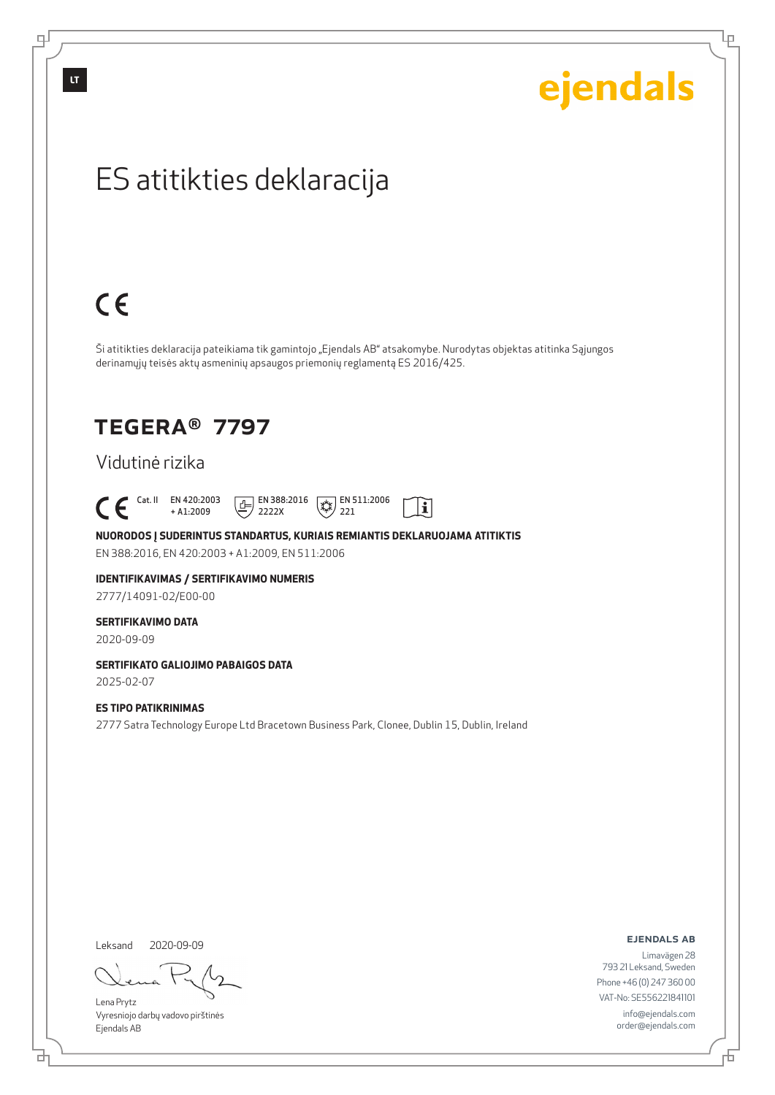டி

# ejendals

Lρ

## ES atitikties deklaracija

# $C \in$

Ši atitikties deklaracija pateikiama tik gamintojo "Ejendals AB" atsakomybe. Nurodytas objektas atitinka Sąjungos derinamųjų teisės aktų asmeninių apsaugos priemonių reglamentą ES 2016/425.

 $|\tilde{\mathbf{i}}|$ 

### TEGERA® 7797

### Vidutinė rizika

 $\begin{bmatrix} \text{Cat. II} & \text{EN } 420:2003 \\ + A1:2009 \end{bmatrix}$ + A1:2009  $\boxed{1}$  EN 388:2016 2222X  $\sqrt{\frac{1}{2}}$  EN 511:2006 221

**NUORODOS Į SUDERINTUS STANDARTUS, KURIAIS REMIANTIS DEKLARUOJAMA ATITIKTIS** EN 388:2016, EN 420:2003 + A1:2009, EN 511:2006

### **IDENTIFIKAVIMAS / SERTIFIKAVIMO NUMERIS**

2777/14091-02/E00-00

#### **SERTIFIKAVIMO DATA**

2020-09-09

### **SERTIFIKATO GALIOJIMO PABAIGOS DATA**

2025-02-07

#### **ES TIPO PATIKRINIMAS**

2777 Satra Technology Europe Ltd Bracetown Business Park, Clonee, Dublin 15, Dublin, Ireland

Leksand 2020-09-09

Lena Prytz Vyresniojo darbų vadovo pirštinės Ejendals AB

#### ejendals ab

Limavägen 28 793 21 Leksand, Sweden Phone +46 (0) 247 360 00 VAT-No: SE556221841101 info@ejendals.com order@ejendals.com

<u>다</u>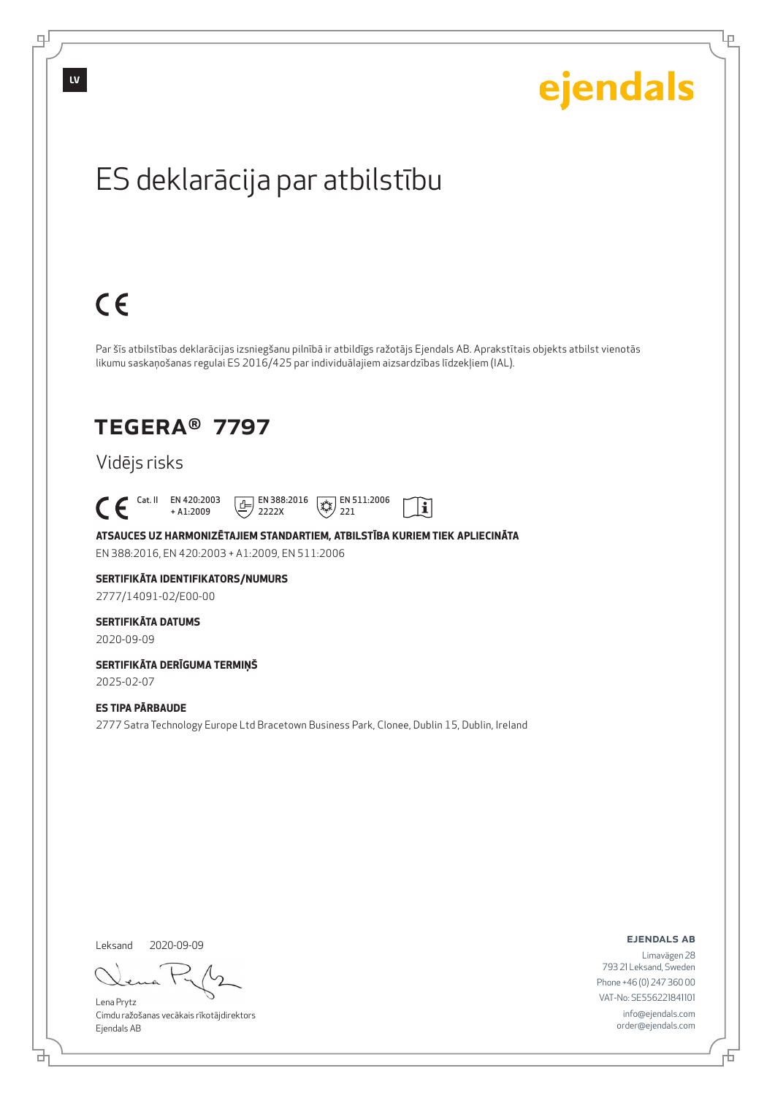

### Vidējs risks

 Cat. II EN 420:2003 + A1:2009  $\boxed{E}$  EN 388:2016 2222X

**ATSAUCES UZ HARMONIZĒTAJIEM STANDARTIEM, ATBILSTĪBA KURIEM TIEK APLIECINĀTA** EN 388:2016, EN 420:2003 + A1:2009, EN 511:2006

 $\mathbb{R}$  EN 511:2006 221

 $\mathbf{i}$ 

#### **SERTIFIKĀTA IDENTIFIKATORS/NUMURS** 2777/14091-02/E00-00

#### **SERTIFIKĀTA DATUMS**

2020-09-09

#### **SERTIFIKĀTA DERĪGUMA TERMIŅŠ** 2025-02-07

**ES TIPA PĀRBAUDE**

2777 Satra Technology Europe Ltd Bracetown Business Park, Clonee, Dublin 15, Dublin, Ireland

Leksand 2020-09-09

브

Lena Prytz Cimdu ražošanas vecākais rīkotājdirektors Ejendals AB

ejendals ab

Б

Lρ

ejendals

Limavägen 28 793 21 Leksand, Sweden Phone +46 (0) 247 360 00 VAT-No: SE556221841101 info@ejendals.com order@ejendals.com

**LV**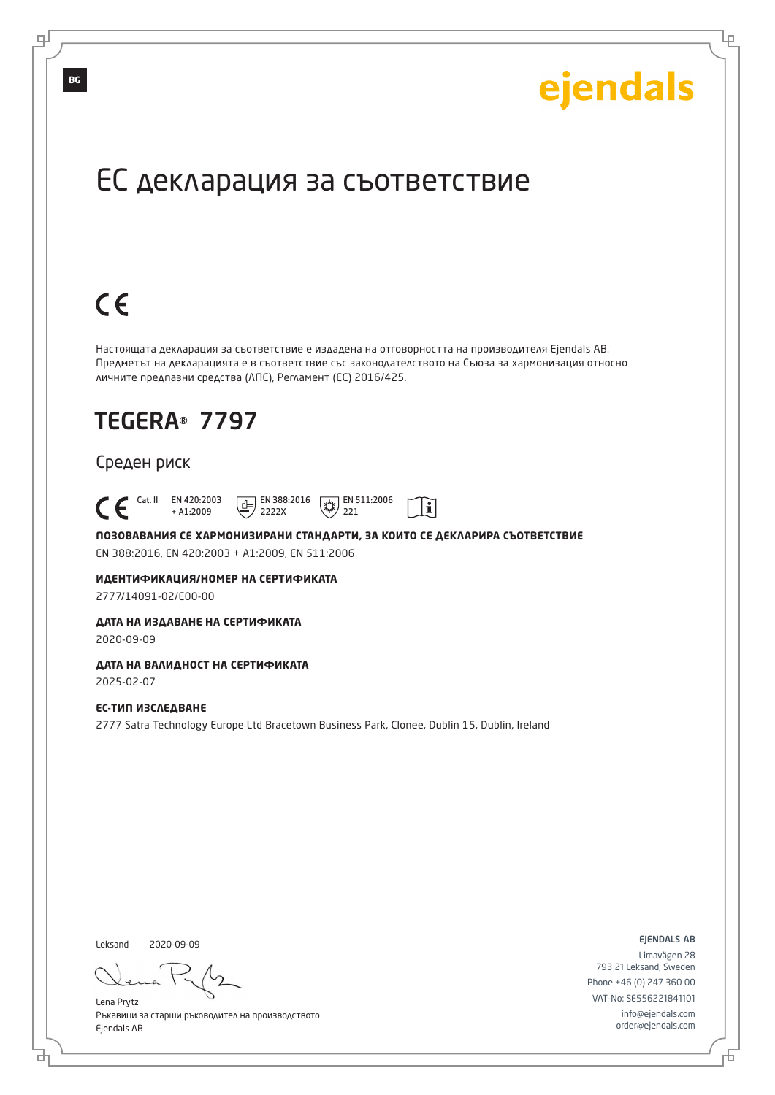Lр

## ЕС декларация за съответствие

# $C \in$

Настоящата декларация за съответствие е издадена на отговорността на производителя Ejendals AB. Предметът на декларацията е в съответствие със законодателството на Съюза за хармонизация относно личните предпазни средства (ЛПС), Регламент (ЕС) 2016/425.

## TEGERA® 7797

#### Среден риск

 Cat. II EN 420:2003  $\boxed{E}$  EN 388:2016  $\mathbb{R}$  EN 511:2006  $\mathbf{i}$ + A1:2009 2222X 221

**ПОЗОВАВАНИЯ СЕ ХАРМОНИЗИРАНИ СТАНДАРТИ, ЗА КОИТО СЕ ДЕКЛАРИРА СЪОТВЕТСТВИЕ** EN 388:2016, EN 420:2003 + A1:2009, EN 511:2006

**ИДЕНТИФИКАЦИЯ/НОМЕР НА СЕРТИФИКАТА**

2777/14091-02/E00-00

#### **ДАТА НА ИЗДАВАНЕ НА СЕРТИФИКАТА**

2020-09-09

### **ДАТА НА ВАЛИДНОСТ НА СЕРТИФИКАТА**

2025-02-07

#### **ЕС-ТИП ИЗСЛЕДВАНЕ**

2777 Satra Technology Europe Ltd Bracetown Business Park, Clonee, Dublin 15, Dublin, Ireland

Leksand 2020-09-09

브

Lena Prytz Ръкавици за старши ръководител на производството Ejendals AB

ejendals ab

Đ

Limavägen 28 793 21 Leksand, Sweden Phone +46 (0) 247 360 00 VAT-No: SE556221841101 info@ejendals.com order@ejendals.com

**BG**